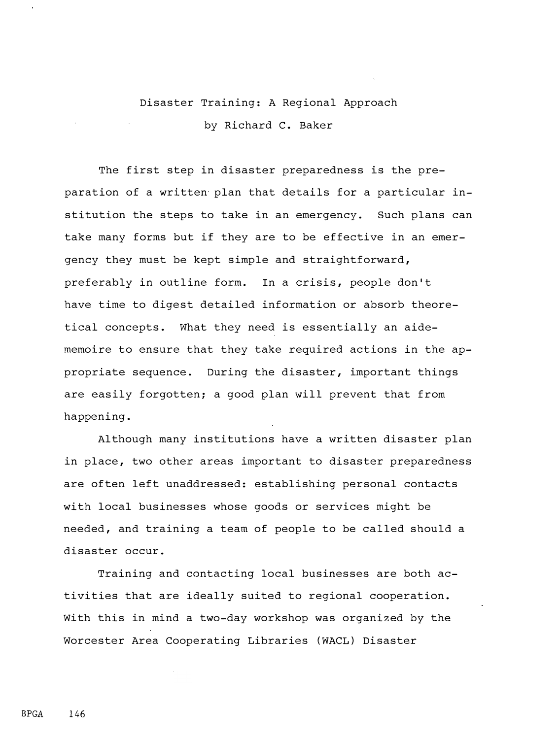## Disaster Training: A Regional Approach by Richard C. Baker

The first step in disaster preparedness is the preparation of a written plan that details for a particular institution the steps to take in an emergency. Such plans can take many forms but if they are to be effective in an emergency they must be kept simple and straightforward, preferably in outline form. In a crisis, people don't have time to digest detailed information or absorb theoretical concepts. What they need is essentially an aidememoire to ensure that they take required actions in the appropriate sequence. During the disaster, important things are easily forgotten; a good plan will prevent that from happening.

Although many institutions have a written disaster plan in place, two other areas important to disaster preparedness are often left unaddressed: establishing personal contacts with local businesses whose goods or services might be needed, and training a team of people to be called should a disaster occur.

Training and contacting local businesses are both activities that are ideally suited to regional cooperation. With this in mind a two-day workshop was organized by the Worcester Area Cooperating Libraries (WACL) Disaster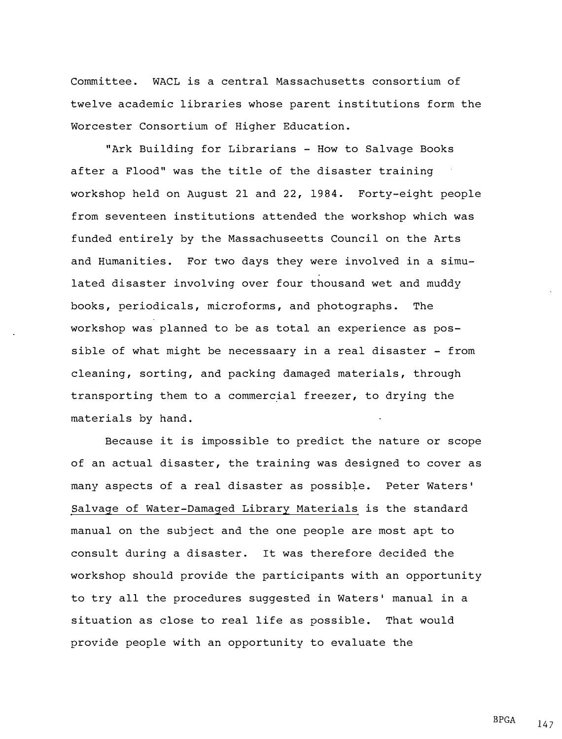Committee. WACL is a central Massachusetts consortium of twelve academic libraries whose parent institutions form the Worcester Consortium of Higher Education.

"Ark Building for Librarians - How to Salvage Books after a Flood" was the title of the disaster training workshop held on August 21 and 22, 1984. Forty-eight people from seventeen institutions attended the workshop which was funded entirely by the Massachuseetts Council on the Arts and Humanities. For two days they were involved in a simulated disaster involving over four thousand wet and muddy books, periodicals, microforms, and photographs. The workshop was planned to be as total an experience as possible of what might be necessaary in a real disaster  $-$  from cleaning, sorting, and packing damaged materials, through transporting them to a commercial freezer, to drying the materials by hand.

Because it is impossible to predict the nature or scope of an actual disaster, the training was designed to cover as many aspects of a real disaster as possible. Peter Waters' Salvage of Water-Damaged Library Materials is the standard manual on the subject and the one people are most apt to consult during a disaster. It was therefore decided the workshop should provide the participants with an opportunity to try all the procedures suggested in Waters• manual in a situation as close to real life as possible. That would provide people with an opportunity to evaluate the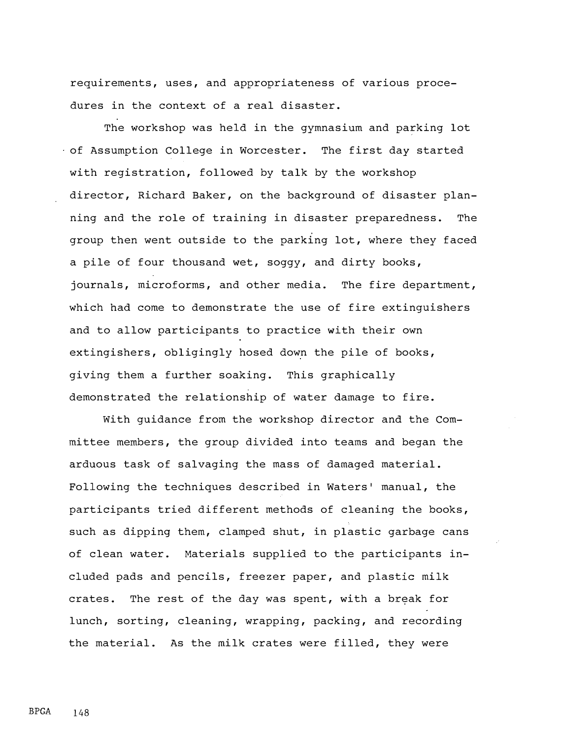requirements, uses, and appropriateness of various procedures in the context of a real disaster.

The workshop was held in the gymnasium and parking lot of Assumption College in Worcester. The first day started with registration, followed by talk by the workshop director, Richard Baker, on the background of disaster planning and the role of training in disaster preparedness. The group then went outside to the parking lot, where they faced a pile of four thousand wet, soggy, and dirty books, journals, microforms, and other media. The fire department, which had come to demonstrate the use of fire extinguishers and to allow participants to practice with their own extingishers, obligingly hosed down the pile of books, giving them a further soaking. This graphically demonstrated the relationship of water damage to fire.

With guidance from the workshop director and the Committee members, the group divided into teams and began the arduous task of salvaging the mass of damaged material. Following the techniques described in Waters' manual, the participants tried different methods of cleaning the books, such as dipping them, clamped shut, in plastic garbage cans of clean water. Materials supplied to the participants included pads and pencils, freezer paper, and plastic milk crates. The rest of the day was spent, with a break for lunch, sorting, cleaning, wrapping, packing, and recording the material. As the milk crates were filled, they were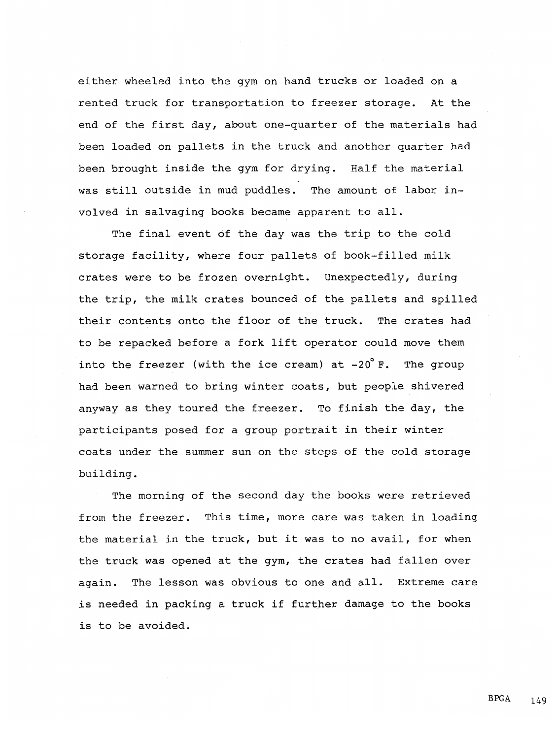either wheeled into the gym on hand trucks or loaded on a rented truck for transportation to freezer storage. At the end of the first day, about one-quarter of the materials had been loaded on pallets in the truck and another quarter had been brought inside the gym for drying. Half the material was still outside in mud puddles. The amount of labor involved in salvaging books became apparent to all.

The final event of the day was the trip to the cold storage facility, where four pallets of book-filled milk crates were to be frozen overnight. Unexpectedly, during the trip, the milk crates bounced of the pallets and spilled their contents onto the floor of the truck. The crates had to be repacked before a fork lift operator could move them into the freezer (with the ice cream) at  $-20^{\circ}$  F. The group had been warned to bring winter coats, but people shivered anyway as they toured the freezer. To finish the day, the participants posed for a group portrait in their winter coats under the summer sun on the steps of the cold storage building.

The morning of the second day the books were retrieved from the freezer. This time, more care was taken in loading the material in the truck, but it was to no avail, for when the truck was opened at the gym, the crates had fallen over again. The lesson was obvious to one and all. Extreme care is needed in packing a truck if further damage to the books is to be avoided.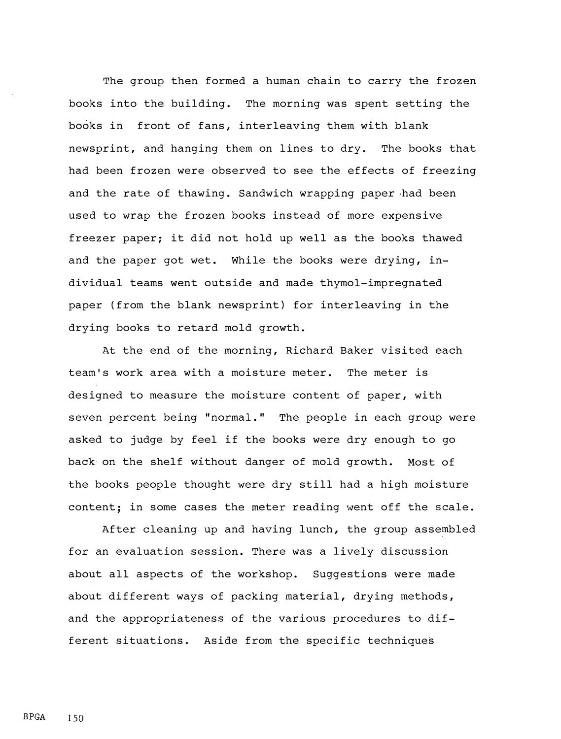The group then formed a human chain to carry the frozen books into the building. The morning was spent setting the books in front of fans, interleaving them with blank newsprint, and hanging them on lines to dry. The books that had been frozen were observed to see the effects of freezing and the rate of thawing. Sandwich wrapping paper had been used to wrap the frozen books instead of more expensive freezer paper; it did not hold up well as the books thawed and the paper got wet. While the books were drying, individual teams went outside and made thymol-impregnated paper (from the blank newsprint) for interleaving in the drying books to retard mold growth.

At the end of the morning, Richard Baker visited each team's work area with a moisture meter. The meter is designed to measure the moisture content of paper, with seven percent being "normal." The people in each group were asked to judge by feel if the books were dry enough to go back on the shelf without danger of mold growth. Most of the books people thought were dry still had a high moisture content; in some cases the meter reading went off the scale.

After cleaning up and having lunch, the group assembled for an evaluation session. There was a lively discussion about all aspects of the workshop. Suggestions were made about different ways of packing material, drying methods, and the appropriateness of the various procedures to different situations. Aside from the specific techniques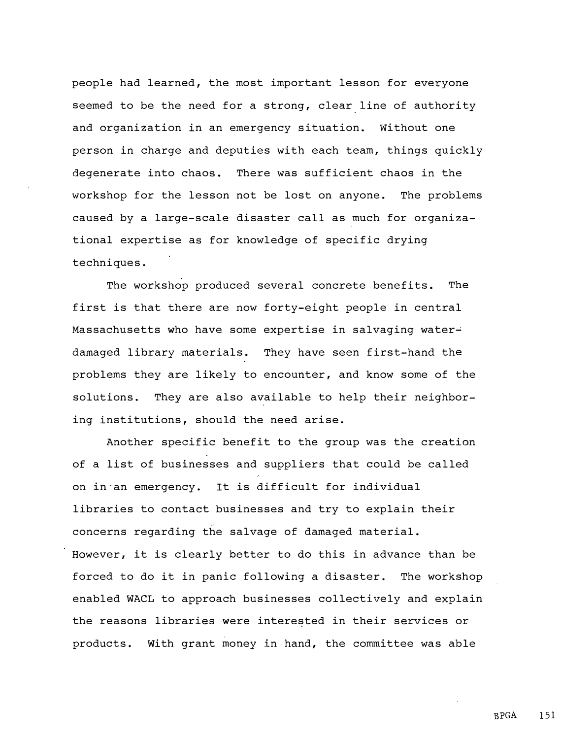people had learned, the most important lesson for everyone seemed to be the need for a strong, clear line of authority and organization in an emergency situation. Without one person in charge and deputies with each team, things quickly degenerate into chaos. There was sufficient chaos in the workshop for the lesson not be lost on anyone. The problems caused by a large-scale disaster call as much for organizational expertise as for knowledge of specific drying techniques.

The workshop produced several concrete benefits. The first is that there are now forty-eight people in central Massachusetts who have some expertise in salvaging waterdamaged library materials. They have seen first-hand the problems they are likely to encounter, and know some of the solutions. They are also available to help their neighboring institutions, should the need arise.

Another specific benefit to the group was the creation of a list of businesses and suppliers that could be called on in an emergency. It is difficult for individual libraries to contact businesses and try to explain their concerns regarding the salvage of damaged material. However, it is clearly better to do this in advance than be forced to do it in panic following a disaster. The workshop enabled WACL to approach businesses collectively and explain the reasons libraries were interested in their services or products. With grant money in hand, the committee was able